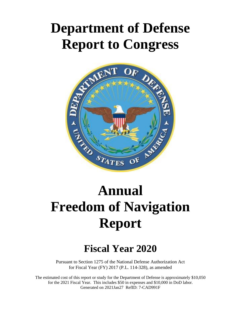## **Department of Defense Report to Congress**



# **Annual Freedom of Navigation Report**

### **Fiscal Year 2020**

Pursuant to Section 1275 of the National Defense Authorization Act for Fiscal Year (FY) 2017 (P.L. 114-328), as amended

The estimated cost of this report or study for the Department of Defense is approximately \$10,050 for the 2021 Fiscal Year. This includes \$50 in expenses and \$10,000 in DoD labor. Generated on 2021Jan27 RefID: 7-CAD991F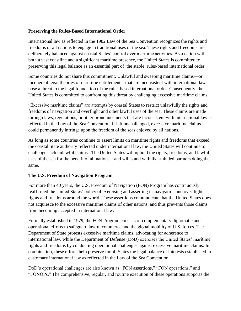#### **Preserving the Rules-Based International Order**

International law as reflected in the 1982 Law of the Sea Convention recognizes the rights and freedoms of all nations to engage in traditional uses of the sea. These rights and freedoms are deliberately balanced against coastal States' control over maritime activities. As a nation with both a vast coastline and a significant maritime presence, the United States is committed to preserving this legal balance as an essential part of the stable, rules-based international order.

Some countries do not share this commitment. Unlawful and sweeping maritime claims—or incoherent legal theories of maritime entitlement—that are inconsistent with international law pose a threat to the legal foundation of the rules-based international order. Consequently, the United States is committed to confronting this threat by challenging excessive maritime claims.

"Excessive maritime claims" are attempts by coastal States to restrict unlawfully the rights and freedoms of navigation and overflight and other lawful uses of the sea. These claims are made through laws, regulations, or other pronouncements that are inconsistent with international law as reflected in the Law of the Sea Convention. If left unchallenged, excessive maritime claims could permanently infringe upon the freedom of the seas enjoyed by all nations.

As long as some countries continue to assert limits on maritime rights and freedoms that exceed the coastal State authority reflected under international law, the United States will continue to challenge such unlawful claims. The United States will uphold the rights, freedoms, and lawful uses of the sea for the benefit of all nations—and will stand with like-minded partners doing the same.

#### **The U.S. Freedom of Navigation Program**

For more than 40 years, the U.S. Freedom of Navigation (FON) Program has continuously reaffirmed the United States' policy of exercising and asserting its navigation and overflight rights and freedoms around the world. These assertions communicate that the United States does not acquiesce to the excessive maritime claims of other nations, and thus prevents those claims from becoming accepted in international law.

Formally established in 1979, the FON Program consists of complementary diplomatic and operational efforts to safeguard lawful commerce and the global mobility of U.S. forces. The Department of State protests excessive maritime claims, advocating for adherence to international law, while the Department of Defense (DoD) exercises the United States' maritime rights and freedoms by conducting operational challenges against excessive maritime claims. In combination, these efforts help preserve for all States the legal balance of interests established in customary international law as reflected in the Law of the Sea Convention.

DoD's operational challenges are also known as "FON assertions," "FON operations," and "FONOPs." The comprehensive, regular, and routine execution of these operations supports the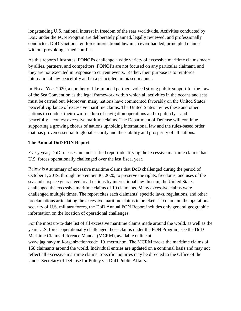longstanding U.S. national interest in freedom of the seas worldwide. Activities conducted by DoD under the FON Program are deliberately planned, legally reviewed, and professionally conducted. DoD's actions reinforce international law in an even-handed, principled manner without provoking armed conflict.

As this reports illustrates, FONOPs challenge a wide variety of excessive maritime claims made by allies, partners, and competitors. FONOPs are not focused on any particular claimant, and they are not executed in response to current events. Rather, their purpose is to reinforce international law peacefully and in a principled, unbiased manner.

In Fiscal Year 2020, a number of like-minded partners voiced strong public support for the Law of the Sea Convention as the legal framework within which all activities in the oceans and seas must be carried out. Moreover, many nations have commented favorably on the United States' peaceful vigilance of excessive maritime claims. The United States invites these and other nations to conduct their own freedom of navigation operations and to publicly—and peacefully—contest excessive maritime claims. The Department of Defense will continue supporting a growing chorus of nations upholding international law and the rules-based order that has proven essential to global security and the stability and prosperity of all nations.

#### **The Annual DoD FON Report**

Every year, DoD releases an unclassified report identifying the excessive maritime claims that U.S. forces operationally challenged over the last fiscal year.

Below is a summary of excessive maritime claims that DoD challenged during the period of October 1, 2019, through September 30, 2020, to preserve the rights, freedoms, and uses of the sea and airspace guaranteed to all nations by international law. In sum, the United States challenged the excessive maritime claims of 19 claimants. Many excessive claims were challenged multiple times. The report cites each claimants' specific laws, regulations, and other proclamations articulating the excessive maritime claims in brackets. To maintain the operational security of U.S. military forces, the DoD Annual FON Report includes only general geographic information on the location of operational challenges.

For the most up-to-date list of all excessive maritime claims made around the world, as well as the years U.S. forces operationally challenged those claims under the FON Program, see the DoD Maritime Claims Reference Manual (MCRM), available online at www.jag.navy.mil/organization/code\_10\_mcrm.htm. The MCRM tracks the maritime claims of 158 claimants around the world. Individual entries are updated on a continual basis and may not reflect all excessive maritime claims. Specific inquiries may be directed to the Office of the Under Secretary of Defense for Policy via DoD Public Affairs.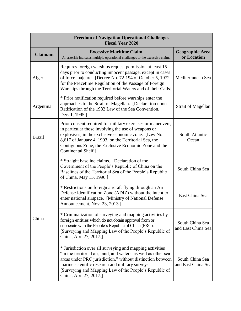| <b>Freedom of Navigation Operational Challenges</b><br><b>Fiscal Year 2020</b> |                                                                                                                                                                                                                                                                                                                                   |                                       |  |  |
|--------------------------------------------------------------------------------|-----------------------------------------------------------------------------------------------------------------------------------------------------------------------------------------------------------------------------------------------------------------------------------------------------------------------------------|---------------------------------------|--|--|
| <b>Claimant</b>                                                                | <b>Excessive Maritime Claim</b><br>An asterisk indicates multiple operational challenges to the excessive claim.                                                                                                                                                                                                                  | <b>Geographic Area</b><br>or Location |  |  |
| Algeria                                                                        | Requires foreign warships request permission at least 15<br>days prior to conducting innocent passage, except in cases<br>of force majeure. [Decree No. 72-194 of October 5, 1972<br>for the Peacetime Regulation of the Passage of Foreign<br>Warships through the Territorial Waters and of their Calls]                        | Mediterranean Sea                     |  |  |
| Argentina                                                                      | * Prior notification required before warships enter the<br>approaches to the Strait of Magellan. [Declaration upon<br>Ratification of the 1982 Law of the Sea Convention,<br>Dec. 1, 1995.]                                                                                                                                       | <b>Strait of Magellan</b>             |  |  |
| <b>Brazil</b>                                                                  | Prior consent required for military exercises or maneuvers,<br>in particular those involving the use of weapons or<br>explosives, in the exclusive economic zone. [Law No.]<br>8,617 of January 4, 1993, on the Territorial Sea, the<br>Contiguous Zone, the Exclusive Economic Zone and the<br>Continental Shelf.]               | South Atlantic<br>Ocean               |  |  |
| China                                                                          | * Straight baseline claims. [Declaration of the<br>Government of the People's Republic of China on the<br>Baselines of the Territorial Sea of the People's Republic<br>of China, May 15, 1996.]                                                                                                                                   | South China Sea                       |  |  |
|                                                                                | * Restrictions on foreign aircraft flying through an Air<br>Defense Identification Zone (ADIZ) without the intent to<br>enter national airspace. [Ministry of National Defense<br>Announcement, Nov. 23, 2013.]                                                                                                                   | East China Sea                        |  |  |
|                                                                                | * Criminalization of surveying and mapping activities by<br>foreign entities which do not obtain approval from or<br>cooperate with the People's Republic of China (PRC).<br>[Surveying and Mapping Law of the People's Republic of<br>China, Apr. 27, 2017.]                                                                     | South China Sea<br>and East China Sea |  |  |
|                                                                                | * Jurisdiction over all surveying and mapping activities<br>"in the territorial air, land, and waters, as well as other sea<br>areas under PRC jurisdiction," without distinction between<br>marine scientific research and military surveys.<br>[Surveying and Mapping Law of the People's Republic of<br>China, Apr. 27, 2017.] | South China Sea<br>and East China Sea |  |  |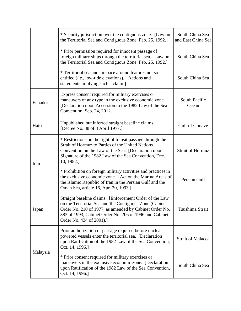|          | * Security jurisdiction over the contiguous zone. [Law on<br>the Territorial Sea and Contiguous Zone, Feb. 25, 1992.]                                                                                                                                             | South China Sea<br>and East China Sea |
|----------|-------------------------------------------------------------------------------------------------------------------------------------------------------------------------------------------------------------------------------------------------------------------|---------------------------------------|
|          | * Prior permission required for innocent passage of<br>foreign military ships through the territorial sea. [Law on<br>the Territorial Sea and Contiguous Zone, Feb. 25, 1992.]                                                                                    | South China Sea                       |
|          | * Territorial sea and airspace around features not so<br>entitled ( <i>i.e.</i> , low-tide elevations). [Actions and<br>statements implying such a claim.]                                                                                                        | South China Sea                       |
| Ecuador  | Express consent required for military exercises or<br>maneuvers of any type in the exclusive economic zone.<br>[Declaration upon Accession to the 1982 Law of the Sea<br>Convention, Sep. 24, 2012.]                                                              | South Pacific<br>Ocean                |
| Haiti    | Unpublished but inferred straight baseline claims.<br>[Decree No. 38 of 8 April 1977.]                                                                                                                                                                            | Gulf of Gonave                        |
| Iran     | * Restrictions on the right of transit passage through the<br><b>Strait of Hormuz to Parties of the United Nations</b><br>Convention on the Law of the Sea. [Declaration upon<br>Signature of the 1982 Law of the Sea Convention, Dec.<br>10, 1982.]              | <b>Strait of Hormuz</b>               |
|          | * Prohibition on foreign military activities and practices in<br>the exclusive economic zone. [Act on the Marine Areas of<br>the Islamic Republic of Iran in the Persian Gulf and the<br>Oman Sea, article 16, Apr. 20, 1993.]                                    | Persian Gulf                          |
| Japan    | Straight baseline claims. [Enforcement Order of the Law<br>on the Territorial Sea and the Contiguous Zone (Cabinet<br>Order No. 210 of 1977, as amended by Cabinet Order No.<br>383 of 1993, Cabinet Order No. 206 of 1996 and Cabinet<br>Order No. 434 of 2001). | Tsushima Strait                       |
| Malaysia | Prior authorization of passage required before nuclear-<br>powered vessels enter the territorial sea. [Declaration<br>upon Ratification of the 1982 Law of the Sea Convention,<br>Oct. 14, 1996.]                                                                 | <b>Strait of Malacca</b>              |
|          | * Prior consent required for military exercises or<br>maneuvers in the exclusive economic zone. [Declaration<br>upon Ratification of the 1982 Law of the Sea Convention,<br>Oct. 14, 1996.]                                                                       | South China Sea                       |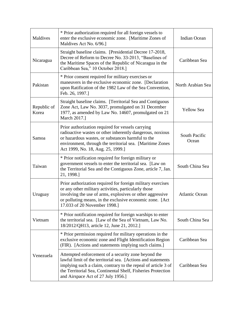| Maldives             | * Prior authorization required for all foreign vessels to<br>enter the exclusive economic zone. [Maritime Zones of<br>Maldives Act No. 6/96.]                                                                                                                                              | <b>Indian Ocean</b>    |
|----------------------|--------------------------------------------------------------------------------------------------------------------------------------------------------------------------------------------------------------------------------------------------------------------------------------------|------------------------|
| Nicaragua            | Straight baseline claims. [Presidential Decree 17-2018,<br>Decree of Reform to Decree No. 33-2013, "Baselines of<br>the Maritime Spaces of the Republic of Nicaragua in the<br>Caribbean Sea," 10 October 2018.]                                                                           | Caribbean Sea          |
| Pakistan             | * Prior consent required for military exercises or<br>maneuvers in the exclusive economic zone. [Declaration]<br>upon Ratification of the 1982 Law of the Sea Convention,<br>Feb. 26, 1997.]                                                                                               | North Arabian Sea      |
| Republic of<br>Korea | Straight baseline claims. [Territorial Sea and Contiguous<br>Zone Act, Law No. 3037, promulgated on 31 December<br>1977, as amended by Law No. 14607, promulgated on 21<br>March 2017.]                                                                                                    | <b>Yellow Sea</b>      |
| Samoa                | Prior authorization required for vessels carrying<br>radioactive wastes or other inherently dangerous, noxious<br>or hazardous wastes, or substances harmful to the<br>environment, through the territorial sea. [Maritime Zones<br>Act 1999, No. 18, Aug. 25, 1999.]                      | South Pacific<br>Ocean |
| Taiwan               | * Prior notification required for foreign military or<br>government vessels to enter the territorial sea. [Law on<br>the Territorial Sea and the Contiguous Zone, article 7, Jan.<br>21, 1998.]                                                                                            | South China Sea        |
| Uruguay              | Prior authorization required for foreign military exercises<br>or any other military activities, particularly those<br>involving the use of arms, explosives or other aggressive<br>or polluting means, in the exclusive economic zone. [Act<br>17.033 of 20 November 1998.]               | <b>Atlantic Ocean</b>  |
| Vietnam              | * Prior notification required for foreign warships to enter<br>the territorial sea. [Law of the Sea of Vietnam, Law No.<br>18/2012/QH13, article 12, June 21, 2012.]                                                                                                                       | South China Sea        |
|                      | * Prior permission required for military operations in the<br>exclusive economic zone and Flight Identification Region<br>(FIR). [Actions and statements implying such claims.]                                                                                                            | Caribbean Sea          |
| Venezuela            | Attempted enforcement of a security zone beyond the<br>lawful limit of the territorial sea. [Actions and statements<br>implying such a claim, contrary to the repeal of article 3 of<br>the Territorial Sea, Continental Shelf, Fisheries Protection<br>and Airspace Act of 27 July 1956.] | Caribbean Sea          |